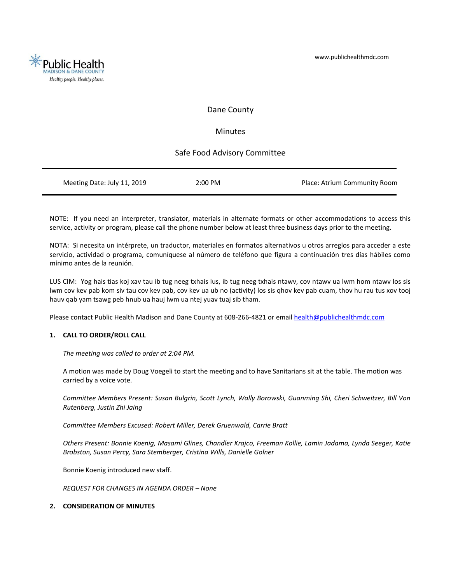

# Dane County

# Minutes

# Safe Food Advisory Committee

|  | 2:00 PM<br>Meeting Date: July 11, 2019<br>Place: Atrium Community Room |
|--|------------------------------------------------------------------------|
|--|------------------------------------------------------------------------|

NOTE: If you need an interpreter, translator, materials in alternate formats or other accommodations to access this service, activity or program, please call the phone number below at least three business days prior to the meeting.

NOTA: Si necesita un intérprete, un traductor, materiales en formatos alternativos u otros arreglos para acceder a este servicio, actividad o programa, comuníquese al número de teléfono que figura a continuación tres días hábiles como mínimo antes de la reunión.

LUS CIM: Yog hais tias koj xav tau ib tug neeg txhais lus, ib tug neeg txhais ntawv, cov ntawv ua lwm hom ntawv los sis lwm cov kev pab kom siv tau cov kev pab, cov kev ua ub no (activity) los sis qhov kev pab cuam, thov hu rau tus xov tooj hauv qab yam tsawg peb hnub ua hauj lwm ua ntej yuav tuaj sib tham.

Please contact Public Health Madison and Dane County at 608-266-4821 or emai[l health@publichealthmdc.com](mailto:health@publichealthmdc.com)

## **1. CALL TO ORDER/ROLL CALL**

*The meeting was called to order at 2:04 PM.* 

A motion was made by Doug Voegeli to start the meeting and to have Sanitarians sit at the table. The motion was carried by a voice vote.

*Committee Members Present: Susan Bulgrin, Scott Lynch, Wally Borowski, Guanming Shi, Cheri Schweitzer, Bill Von Rutenberg, Justin Zhi Jaing*

*Committee Members Excused: Robert Miller, Derek Gruenwald, Carrie Bratt*

*Others Present: Bonnie Koenig, Masami Glines, Chandler Krajco, Freeman Kollie, Lamin Jadama, Lynda Seeger, Katie Brobston, Susan Percy, Sara Stemberger, Cristina Wills, Danielle Golner*

Bonnie Koenig introduced new staff.

*REQUEST FOR CHANGES IN AGENDA ORDER – None* 

# **2. CONSIDERATION OF MINUTES**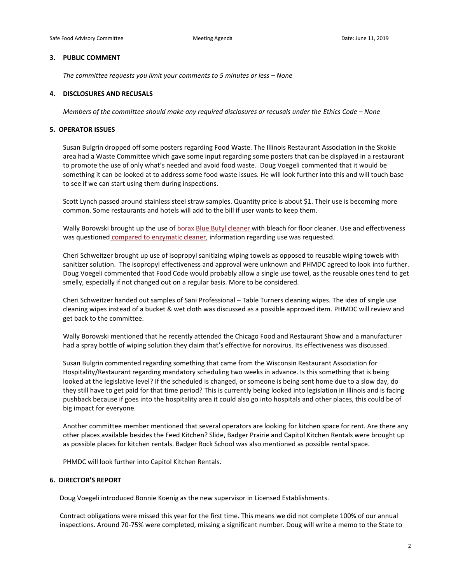#### **3. PUBLIC COMMENT**

*The committee requests you limit your comments to 5 minutes or less – None* 

### **4. DISCLOSURES AND RECUSALS**

*Members of the committee should make any required disclosures or recusals under the Ethics Code - None* 

### **5. OPERATOR ISSUES**

Susan Bulgrin dropped off some posters regarding Food Waste. The Illinois Restaurant Association in the Skokie area had a Waste Committee which gave some input regarding some posters that can be displayed in a restaurant to promote the use of only what's needed and avoid food waste. Doug Voegeli commented that it would be something it can be looked at to address some food waste issues. He will look further into this and will touch base to see if we can start using them during inspections.

Scott Lynch passed around stainless steel straw samples. Quantity price is about \$1. Their use is becoming more common. Some restaurants and hotels will add to the bill if user wants to keep them.

Wally Borowski brought up the use of borax Blue Butyl cleaner with bleach for floor cleaner. Use and effectiveness was questioned compared to enzymatic cleaner, information regarding use was requested.

Cheri Schweitzer brought up use of isopropyl sanitizing wiping towels as opposed to reusable wiping towels with sanitizer solution. The isopropyl effectiveness and approval were unknown and PHMDC agreed to look into further. Doug Voegeli commented that Food Code would probably allow a single use towel, as the reusable ones tend to get smelly, especially if not changed out on a regular basis. More to be considered.

Cheri Schweitzer handed out samples of Sani Professional – Table Turners cleaning wipes. The idea of single use cleaning wipes instead of a bucket & wet cloth was discussed as a possible approved item. PHMDC will review and get back to the committee.

Wally Borowski mentioned that he recently attended the Chicago Food and Restaurant Show and a manufacturer had a spray bottle of wiping solution they claim that's effective for norovirus. Its effectiveness was discussed.

Susan Bulgrin commented regarding something that came from the Wisconsin Restaurant Association for Hospitality/Restaurant regarding mandatory scheduling two weeks in advance. Is this something that is being looked at the legislative level? If the scheduled is changed, or someone is being sent home due to a slow day, do they still have to get paid for that time period? This is currently being looked into legislation in Illinois and is facing pushback because if goes into the hospitality area it could also go into hospitals and other places, this could be of big impact for everyone.

Another committee member mentioned that several operators are looking for kitchen space for rent. Are there any other places available besides the Feed Kitchen? Slide, Badger Prairie and Capitol Kitchen Rentals were brought up as possible places for kitchen rentals. Badger Rock School was also mentioned as possible rental space.

PHMDC will look further into Capitol Kitchen Rentals.

#### **6. DIRECTOR'S REPORT**

Doug Voegeli introduced Bonnie Koenig as the new supervisor in Licensed Establishments.

Contract obligations were missed this year for the first time. This means we did not complete 100% of our annual inspections. Around 70-75% were completed, missing a significant number. Doug will write a memo to the State to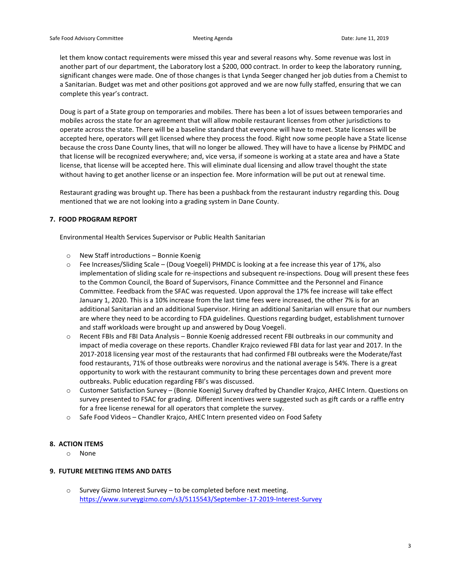let them know contact requirements were missed this year and several reasons why. Some revenue was lost in another part of our department, the Laboratory lost a \$200, 000 contract. In order to keep the laboratory running, significant changes were made. One of those changes is that Lynda Seeger changed her job duties from a Chemist to a Sanitarian. Budget was met and other positions got approved and we are now fully staffed, ensuring that we can complete this year's contract.

Doug is part of a State group on temporaries and mobiles. There has been a lot of issues between temporaries and mobiles across the state for an agreement that will allow mobile restaurant licenses from other jurisdictions to operate across the state. There will be a baseline standard that everyone will have to meet. State licenses will be accepted here, operators will get licensed where they process the food. Right now some people have a State license because the cross Dane County lines, that will no longer be allowed. They will have to have a license by PHMDC and that license will be recognized everywhere; and, vice versa, if someone is working at a state area and have a State license, that license will be accepted here. This will eliminate dual licensing and allow travel thought the state without having to get another license or an inspection fee. More information will be put out at renewal time.

Restaurant grading was brought up. There has been a pushback from the restaurant industry regarding this. Doug mentioned that we are not looking into a grading system in Dane County.

### **7. FOOD PROGRAM REPORT**

Environmental Health Services Supervisor or Public Health Sanitarian

- o New Staff introductions Bonnie Koenig
- o Fee Increases/Sliding Scale (Doug Voegeli) PHMDC is looking at a fee increase this year of 17%, also implementation of sliding scale for re-inspections and subsequent re-inspections. Doug will present these fees to the Common Council, the Board of Supervisors, Finance Committee and the Personnel and Finance Committee. Feedback from the SFAC was requested. Upon approval the 17% fee increase will take effect January 1, 2020. This is a 10% increase from the last time fees were increased, the other 7% is for an additional Sanitarian and an additional Supervisor. Hiring an additional Sanitarian will ensure that our numbers are where they need to be according to FDA guidelines. Questions regarding budget, establishment turnover and staff workloads were brought up and answered by Doug Voegeli.
- o Recent FBIs and FBI Data Analysis Bonnie Koenig addressed recent FBI outbreaks in our community and impact of media coverage on these reports. Chandler Krajco reviewed FBI data for last year and 2017. In the 2017-2018 licensing year most of the restaurants that had confirmed FBI outbreaks were the Moderate/fast food restaurants, 71% of those outbreaks were norovirus and the national average is 54%. There is a great opportunity to work with the restaurant community to bring these percentages down and prevent more outbreaks. Public education regarding FBI's was discussed.
- o Customer Satisfaction Survey (Bonnie Koenig) Survey drafted by Chandler Krajco, AHEC Intern. Questions on survey presented to FSAC for grading. Different incentives were suggested such as gift cards or a raffle entry for a free license renewal for all operators that complete the survey.
- o Safe Food Videos Chandler Krajco, AHEC Intern presented video on Food Safety

## **8. ACTION ITEMS**

o None

## **9. FUTURE MEETING ITEMS AND DATES**

o Survey Gizmo Interest Survey – to be completed before next meeting. [https://www.surveygizmo.com/s3/5115543/September-17-2019-Interest-Survey](https://urldefense.proofpoint.com/v2/url?u=https-3A__www.surveygizmo.com_s3_5115543_September-2D17-2D2019-2DInterest-2DSurvey&d=DwMGaQ&c=byefhD2ZumMFFQYPZBagUCDuBiM9Q9twmxaBM0hCgII&r=fn0sFmQLFvz7Zh2tp-kU7YCCFpGB2SVgV9HGkQZ4KbY&m=LdacLr8i9wA45NEY-RrTnDXL3rh_FiFyqRCvJLzWsR8&s=RSSOixp15Ld69qbJ0dhnJ03zq6K-tVdkQek49So3WEg&e=)